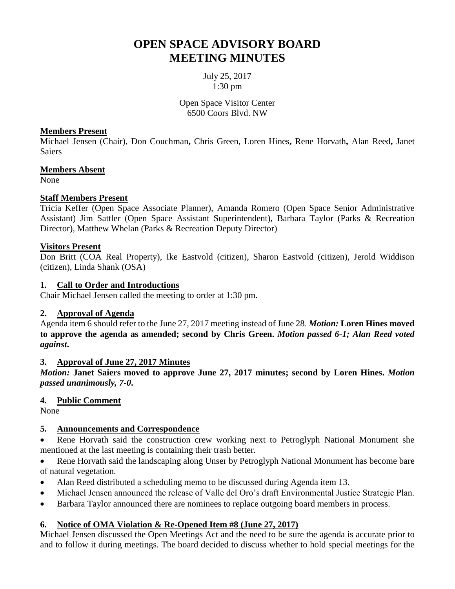# **OPEN SPACE ADVISORY BOARD MEETING MINUTES**

July 25, 2017 1:30 pm

Open Space Visitor Center 6500 Coors Blvd. NW

#### **Members Present**

Michael Jensen (Chair), Don Couchman**,** Chris Green, Loren Hines**,** Rene Horvath**,** Alan Reed**,** Janet Saiers

#### **Members Absent**

None

#### **Staff Members Present**

Tricia Keffer (Open Space Associate Planner), Amanda Romero (Open Space Senior Administrative Assistant) Jim Sattler (Open Space Assistant Superintendent), Barbara Taylor (Parks & Recreation Director), Matthew Whelan (Parks & Recreation Deputy Director)

#### **Visitors Present**

Don Britt (COA Real Property), Ike Eastvold (citizen), Sharon Eastvold (citizen), Jerold Widdison (citizen), Linda Shank (OSA)

#### **1. Call to Order and Introductions**

Chair Michael Jensen called the meeting to order at 1:30 pm.

#### **2. Approval of Agenda**

Agenda item 6 should refer to the June 27, 2017 meeting instead of June 28. *Motion:* **Loren Hines moved to approve the agenda as amended; second by Chris Green.** *Motion passed 6-1; Alan Reed voted against***.**

#### **3. Approval of June 27, 2017 Minutes**

*Motion:* **Janet Saiers moved to approve June 27, 2017 minutes; second by Loren Hines.** *Motion passed unanimously, 7-0***.**

#### **4. Public Comment**

None

## **5. Announcements and Correspondence**

 Rene Horvath said the construction crew working next to Petroglyph National Monument she mentioned at the last meeting is containing their trash better.

 Rene Horvath said the landscaping along Unser by Petroglyph National Monument has become bare of natural vegetation.

- Alan Reed distributed a scheduling memo to be discussed during Agenda item 13.
- Michael Jensen announced the release of Valle del Oro's draft Environmental Justice Strategic Plan.
- Barbara Taylor announced there are nominees to replace outgoing board members in process.

#### **6. Notice of OMA Violation & Re-Opened Item #8 (June 27, 2017)**

Michael Jensen discussed the Open Meetings Act and the need to be sure the agenda is accurate prior to and to follow it during meetings. The board decided to discuss whether to hold special meetings for the